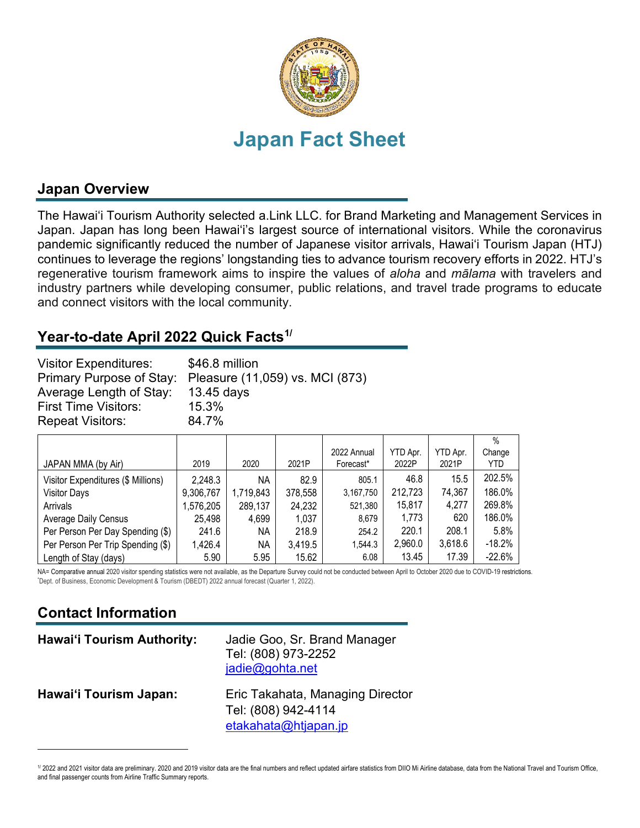

### **Japan Overview**

The Hawai'i Tourism Authority selected a.Link LLC. for Brand Marketing and Management Services in Japan. Japan has long been Hawai'i's largest source of international visitors. While the coronavirus pandemic significantly reduced the number of Japanese visitor arrivals, Hawai'i Tourism Japan (HTJ) continues to leverage the regions' longstanding ties to advance tourism recovery efforts in 2022. HTJ's regenerative tourism framework aims to inspire the values of *aloha* and *mālama* with travelers and industry partners while developing consumer, public relations, and travel trade programs to educate and connect visitors with the local community.

#### **Year-to-date April 2022 Quick Facts[1](#page-0-0)/**

| <b>Visitor Expenditures:</b><br>Average Length of Stay: | \$46.8 million<br>Primary Purpose of Stay: Pleasure (11,059) vs. MCI (873)<br>13.45 days |
|---------------------------------------------------------|------------------------------------------------------------------------------------------|
| <b>First Time Visitors:</b>                             | 15.3%                                                                                    |
| <b>Repeat Visitors:</b>                                 | 84.7%                                                                                    |

|                                    |           |           |         |             |          |          | $\%$     |
|------------------------------------|-----------|-----------|---------|-------------|----------|----------|----------|
|                                    |           |           |         | 2022 Annual | YTD Apr. | YTD Apr. | Change   |
| JAPAN MMA (by Air)                 | 2019      | 2020      | 2021P   | Forecast*   | 2022P    | 2021P    | YTD      |
| Visitor Expenditures (\$ Millions) | 2,248.3   | ΝA        | 82.9    | 805.1       | 46.8     | 15.5     | 202.5%   |
| <b>Visitor Days</b>                | 9,306,767 | 1,719,843 | 378,558 | 3,167,750   | 212,723  | 74,367   | 186.0%   |
| Arrivals                           | 1,576,205 | 289,137   | 24,232  | 521,380     | 15,817   | 4,277    | 269.8%   |
| <b>Average Daily Census</b>        | 25,498    | 4,699     | 1,037   | 8.679       | 1,773    | 620      | 186.0%   |
| Per Person Per Day Spending (\$)   | 241.6     | ΝA        | 218.9   | 254.2       | 220.1    | 208.1    | 5.8%     |
| Per Person Per Trip Spending (\$)  | 1,426.4   | ΝA        | 3,419.5 | 1.544.3     | 2,960.0  | 3,618.6  | $-18.2%$ |
| Length of Stay (days)              | 5.90      | 5.95      | 15.62   | 6.08        | 13.45    | 17.39    | $-22.6%$ |

NA= Comparative annual 2020 visitor spending statistics were not available, as the Departure Survey could not be conducted between April to October 2020 due to COVID-19 restrictions. Dept. of Business, Economic Development & Tourism (DBEDT) 2022 annual forecast (Quarter 1, 2022).

# **Contact Information**

| <b>Hawai'i Tourism Authority:</b> | Jadie Goo, Sr. Brand Manager<br>Tel: (808) 973-2252<br>jadie@gohta.net          |
|-----------------------------------|---------------------------------------------------------------------------------|
| Hawai'i Tourism Japan:            | Eric Takahata, Managing Director<br>Tel: (808) 942-4114<br>etakahata@htjapan.jp |

<span id="page-0-0"></span><sup>1/ 2022</sup> and 2021 visitor data are preliminary. 2020 and 2019 visitor data are the final numbers and reflect updated airfare statistics from DIIO Mi Airline database, data from the National Travel and Tourism Office, and final passenger counts from Airline Traffic Summary reports.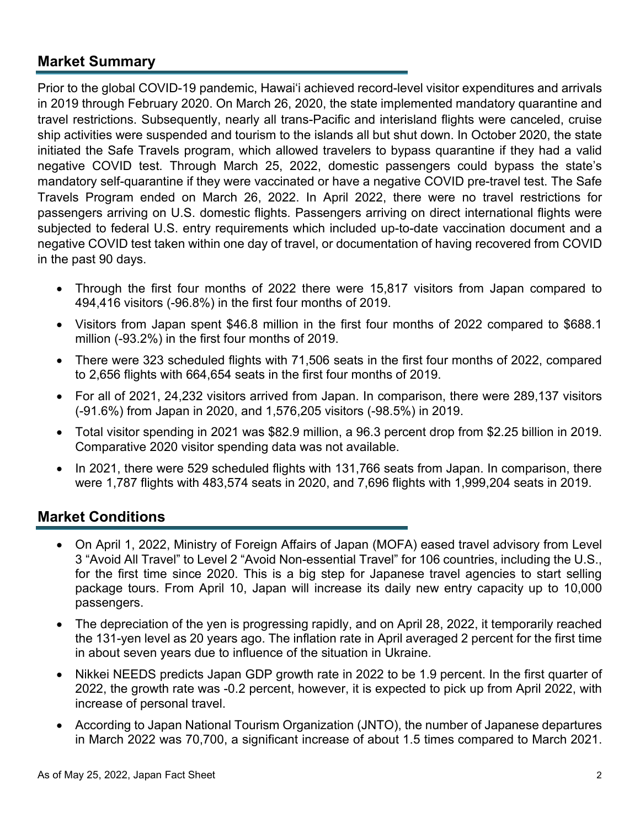#### **Market Summary**

Prior to the global COVID-19 pandemic, Hawai'i achieved record-level visitor expenditures and arrivals in 2019 through February 2020. On March 26, 2020, the state implemented mandatory quarantine and travel restrictions. Subsequently, nearly all trans-Pacific and interisland flights were canceled, cruise ship activities were suspended and tourism to the islands all but shut down. In October 2020, the state initiated the Safe Travels program, which allowed travelers to bypass quarantine if they had a valid negative COVID test. Through March 25, 2022, domestic passengers could bypass the state's mandatory self-quarantine if they were vaccinated or have a negative COVID pre-travel test. The Safe Travels Program ended on March 26, 2022. In April 2022, there were no travel restrictions for passengers arriving on U.S. domestic flights. Passengers arriving on direct international flights were subjected to federal U.S. entry requirements which included up-to-date vaccination document and a negative COVID test taken within one day of travel, or documentation of having recovered from COVID in the past 90 days.

- Through the first four months of 2022 there were 15,817 visitors from Japan compared to 494,416 visitors (-96.8%) in the first four months of 2019.
- Visitors from Japan spent \$46.8 million in the first four months of 2022 compared to \$688.1 million (-93.2%) in the first four months of 2019.
- There were 323 scheduled flights with 71,506 seats in the first four months of 2022, compared to 2,656 flights with 664,654 seats in the first four months of 2019.
- For all of 2021, 24,232 visitors arrived from Japan. In comparison, there were 289,137 visitors (-91.6%) from Japan in 2020, and 1,576,205 visitors (-98.5%) in 2019.
- Total visitor spending in 2021 was \$82.9 million, a 96.3 percent drop from \$2.25 billion in 2019. Comparative 2020 visitor spending data was not available.
- In 2021, there were 529 scheduled flights with 131,766 seats from Japan. In comparison, there were 1,787 flights with 483,574 seats in 2020, and 7,696 flights with 1,999,204 seats in 2019.

#### **Market Conditions**

- On April 1, 2022, Ministry of Foreign Affairs of Japan (MOFA) eased travel advisory from Level 3 "Avoid All Travel" to Level 2 "Avoid Non-essential Travel" for 106 countries, including the U.S., for the first time since 2020. This is a big step for Japanese travel agencies to start selling package tours. From April 10, Japan will increase its daily new entry capacity up to 10,000 passengers.
- The depreciation of the yen is progressing rapidly, and on April 28, 2022, it temporarily reached the 131-yen level as 20 years ago. The inflation rate in April averaged 2 percent for the first time in about seven years due to influence of the situation in Ukraine.
- Nikkei NEEDS predicts Japan GDP growth rate in 2022 to be 1.9 percent. In the first quarter of 2022, the growth rate was -0.2 percent, however, it is expected to pick up from April 2022, with increase of personal travel.
- According to Japan National Tourism Organization (JNTO), the number of Japanese departures in March 2022 was 70,700, a significant increase of about 1.5 times compared to March 2021.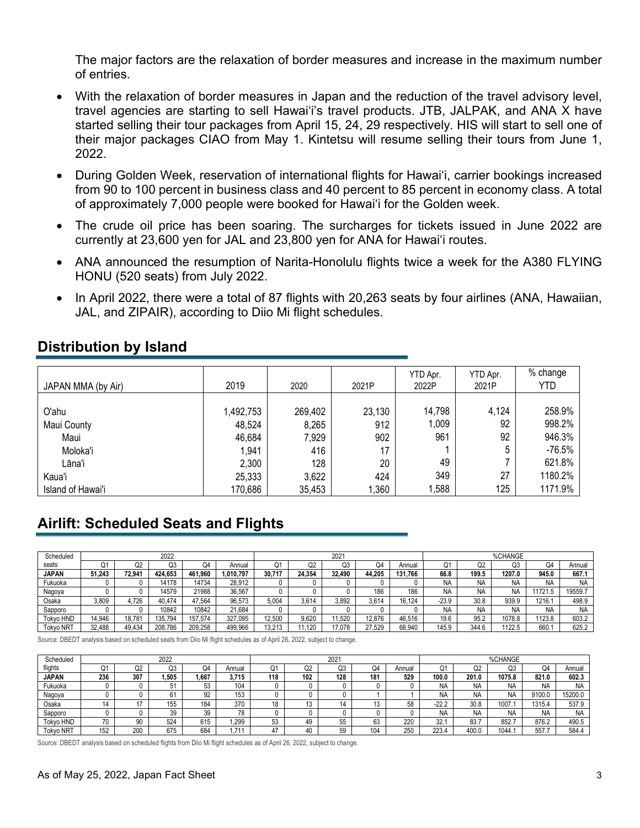The major factors are the relaxation of border measures and increase in the maximum number of entries.

- With the relaxation of border measures in Japan and the reduction of the travel advisory level, travel agencies are starting to sell Hawaiʻi's travel products. JTB, JALPAK, and ANA X have started selling their tour packages from April 15, 24, 29 respectively. HIS will start to sell one of their major packages CIAO from May 1. Kintetsu will resume selling their tours from June 1, 2022.
- During Golden Week, reservation of international flights for Hawaiʻi, carrier bookings increased from 90 to 100 percent in business class and 40 percent to 85 percent in economy class. A total of approximately 7,000 people were booked for Hawai'i for the Golden week.
- The crude oil price has been soaring. The surcharges for tickets issued in June 2022 are currently at 23,600 yen for JAL and 23,800 yen for ANA for Hawaiʻi routes.
- ANA announced the resumption of Narita-Honolulu flights twice a week for the A380 FLYING HONU (520 seats) from July 2022.
- In April 2022, there were a total of 87 flights with 20,263 seats by four airlines (ANA, Hawaiian, JAL, and ZIPAIR), according to Diio Mi flight schedules.

| JAPAN MMA (by Air) | 2019      | 2020    | 2021P  | YTD Apr.<br>2022P | YTD Apr.<br>2021P | % change<br>YTD |
|--------------------|-----------|---------|--------|-------------------|-------------------|-----------------|
|                    |           |         |        |                   |                   |                 |
| O'ahu              | 1,492,753 | 269,402 | 23,130 | 14,798            | 4,124             | 258.9%          |
| Maui County        | 48,524    | 8,265   | 912    | 1,009             | 92                | 998.2%          |
| Maui               | 46,684    | 7,929   | 902    | 961               | 92                | 946.3%          |
| Moloka'i           | 1,941     | 416     | 17     |                   |                   | $-76.5%$        |
| Lāna'i             | 2,300     | 128     | 20     | 49                |                   | 621.8%          |
| Kaua'i             | 25,333    | 3,622   | 424    | 349               | 27                | 1180.2%         |
| Island of Hawai'i  | 170,686   | 35,453  | ,360   | 1,588             | 125               | 1171.9%         |

## **Distribution by Island**

# **Airlift: Scheduled Seats and Flights**

| Scheduled        | 2022   |        |         |         |           | 2021   |           |        |        | %CHANGE |           |           |           |           |         |
|------------------|--------|--------|---------|---------|-----------|--------|-----------|--------|--------|---------|-----------|-----------|-----------|-----------|---------|
| seats            |        | Ω2     | Q3      | Q       | Annual    | Q1     | ററ<br>QZ. | Q3     | O4     | Annual  | 01        | Q2        | Q3        | Q4        | Annual  |
| <b>JAPAN</b>     | 51.243 | 72.941 | 424.653 | 461.960 | 1.010.797 | 30.717 | 24.354    | 32.490 | 44.205 | 131.766 | 66.8      | 199.5     | 1207.0    | 945.0     | 667.1   |
| Fukuoka          |        |        | 14178   | 14734   | 28.912    |        |           |        |        |         | <b>NA</b> | <b>NA</b> | NA        | N۵        | NA      |
| Nagoya           |        |        | 14579   | 21988   | 36.567    |        |           |        | 186    | 186     | <b>NA</b> | <b>NA</b> | <b>NA</b> | 11721.5   | 19559.7 |
| Osaka            | 3,809  | .726   | 40.474  | 47.564  | 96.573    | 5.004  | 3.614     | 3.892  | 3.614  | 16.124  | $-23.9$   | 30.8      | 939.9     | 1216.     | 498.9   |
| Sapporo          |        |        | 10842   | 10842   | 21.684    |        |           |        |        |         | <b>NA</b> | <b>NA</b> | <b>NA</b> | <b>NA</b> | NA      |
| <b>Tokvo HND</b> | 14.946 | 18.781 | 135.794 | 157.574 | 327.095   | 12.500 | 9.620     | 1.520  | 12.876 | 46.516  | 19.6      | 95.2      | 1078.8    | 1123.8    | 603.2   |
| <b>Tokvo NRT</b> | 32.488 | 49.434 | 208.786 | 209.258 | 499.966   | 13.213 | .120      | 17.078 | 27.529 | 68,940  | 145.9     | 344.6     | 122.5     | 660.      | 625.2   |

Source: DBEDT analysis based on scheduled seats from Diio Mi flight schedules as of April 26, 2022, subject to change.

| Scheduled        | 2022 |     |                |          |             |     | 2021 |     |                 |        |           | %CHANGE   |           |        |           |
|------------------|------|-----|----------------|----------|-------------|-----|------|-----|-----------------|--------|-----------|-----------|-----------|--------|-----------|
| flights          |      | uz  | Q3             | Q4       | Annual      | Ο1  | Q2   | Q3  | Q               | Annual | Ő.        | ∩∩        | Q3        | Q۵     | Annual    |
| <b>JAPAN</b>     | 236  | 307 | 1.505          | 667      | 3.715       | 118 | 102  | 128 | 18 <sup>°</sup> | 529    | 100.0     | 201.0     | 1075.8    | 821.0  | 602.3     |
| Fukuoka          |      |     | 5 <sup>1</sup> | 53<br>ບບ | 104         |     |      |     |                 |        | <b>NA</b> | NA        | <b>NA</b> | NΑ     | <b>NA</b> |
| Nagoya           |      |     | 6              | Q2       | 152<br>I Ju |     |      |     |                 |        | <b>NA</b> | NA        | NA        | 9100.0 | 15200.0   |
| Osaka            |      |     | 155            | 184      | 370         | 18  | ٠.   |     |                 | 58     | $-22.2$   | 30.8      | 1007.7    | 1315.4 | 537.9     |
| Sapporo          |      |     | 39             | 39       |             |     |      |     |                 |        | <b>NA</b> | <b>NA</b> | <b>NA</b> | NΑ     | NA        |
| Tokyo HND        | 70   | 90  | 524            | 615      | .299        | 53  | 49   | 55  | 63              | 220    | 32.       | 83.7      | 852.7     | 876.2  | 490.5     |
| <b>Tokyo NRT</b> | 152  | 200 | 675            | 684      | 71          |     | 40   | 59  | 104             | 250    | 223.4     | 400.0     | 1044.     | 557    | 584.4     |

Source: DBEDT analysis based on scheduled flights from Diio Mi flight schedules as of April 26, 2022, subject to change.